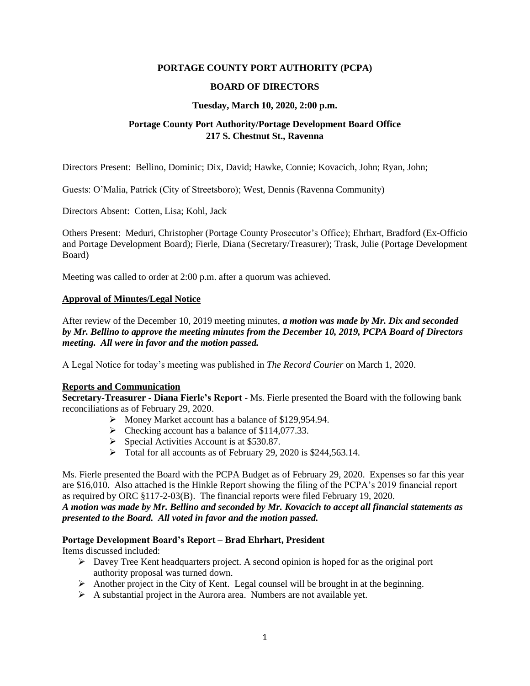### **PORTAGE COUNTY PORT AUTHORITY (PCPA)**

### **BOARD OF DIRECTORS**

#### **Tuesday, March 10, 2020, 2:00 p.m.**

# **Portage County Port Authority/Portage Development Board Office 217 S. Chestnut St., Ravenna**

Directors Present: Bellino, Dominic; Dix, David; Hawke, Connie; Kovacich, John; Ryan, John;

Guests: O'Malia, Patrick (City of Streetsboro); West, Dennis (Ravenna Community)

Directors Absent: Cotten, Lisa; Kohl, Jack

Others Present: Meduri, Christopher (Portage County Prosecutor's Office); Ehrhart, Bradford (Ex-Officio and Portage Development Board); Fierle, Diana (Secretary/Treasurer); Trask, Julie (Portage Development Board)

Meeting was called to order at 2:00 p.m. after a quorum was achieved.

#### **Approval of Minutes/Legal Notice**

After review of the December 10, 2019 meeting minutes, *a motion was made by Mr. Dix and seconded by Mr. Bellino to approve the meeting minutes from the December 10, 2019, PCPA Board of Directors meeting. All were in favor and the motion passed.*

A Legal Notice for today's meeting was published in *The Record Courier* on March 1, 2020.

#### **Reports and Communication**

**Secretary-Treasurer - Diana Fierle's Report** - Ms. Fierle presented the Board with the following bank reconciliations as of February 29, 2020.

- ➢ Money Market account has a balance of \$129,954.94.
- ➢ Checking account has a balance of \$114,077.33.
- ➢ Special Activities Account is at \$530.87.
- ➢ Total for all accounts as of February 29, 2020 is \$244,563.14.

Ms. Fierle presented the Board with the PCPA Budget as of February 29, 2020. Expenses so far this year are \$16,010. Also attached is the Hinkle Report showing the filing of the PCPA's 2019 financial report as required by ORC §117-2-03(B). The financial reports were filed February 19, 2020. *A motion was made by Mr. Bellino and seconded by Mr. Kovacich to accept all financial statements as presented to the Board. All voted in favor and the motion passed.*

### **Portage Development Board's Report – Brad Ehrhart, President**

Items discussed included:

- ➢ Davey Tree Kent headquarters project. A second opinion is hoped for as the original port authority proposal was turned down.
- $\triangleright$  Another project in the City of Kent. Legal counsel will be brought in at the beginning.
- ➢ A substantial project in the Aurora area. Numbers are not available yet.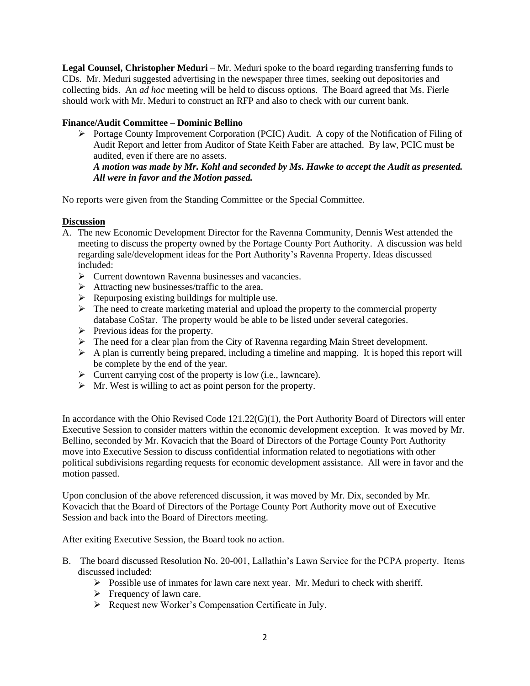**Legal Counsel, Christopher Meduri** – Mr. Meduri spoke to the board regarding transferring funds to CDs. Mr. Meduri suggested advertising in the newspaper three times, seeking out depositories and collecting bids. An *ad hoc* meeting will be held to discuss options. The Board agreed that Ms. Fierle should work with Mr. Meduri to construct an RFP and also to check with our current bank.

# **Finance/Audit Committee – Dominic Bellino**

➢ Portage County Improvement Corporation (PCIC) Audit. A copy of the Notification of Filing of Audit Report and letter from Auditor of State Keith Faber are attached. By law, PCIC must be audited, even if there are no assets.

*A motion was made by Mr. Kohl and seconded by Ms. Hawke to accept the Audit as presented. All were in favor and the Motion passed.*

No reports were given from the Standing Committee or the Special Committee.

## **Discussion**

- A. The new Economic Development Director for the Ravenna Community, Dennis West attended the meeting to discuss the property owned by the Portage County Port Authority. A discussion was held regarding sale/development ideas for the Port Authority's Ravenna Property. Ideas discussed included:
	- ➢ Current downtown Ravenna businesses and vacancies.
	- $\triangleright$  Attracting new businesses/traffic to the area.
	- $\triangleright$  Repurposing existing buildings for multiple use.
	- ➢ The need to create marketing material and upload the property to the commercial property database CoStar. The property would be able to be listed under several categories.
	- ➢ Previous ideas for the property.
	- ➢ The need for a clear plan from the City of Ravenna regarding Main Street development.
	- $\triangleright$  A plan is currently being prepared, including a timeline and mapping. It is hoped this report will be complete by the end of the year.
	- ➢ Current carrying cost of the property is low (i.e., lawncare).
	- $\triangleright$  Mr. West is willing to act as point person for the property.

In accordance with the Ohio Revised Code 121.22(G)(1), the Port Authority Board of Directors will enter Executive Session to consider matters within the economic development exception. It was moved by Mr. Bellino, seconded by Mr. Kovacich that the Board of Directors of the Portage County Port Authority move into Executive Session to discuss confidential information related to negotiations with other political subdivisions regarding requests for economic development assistance. All were in favor and the motion passed.

Upon conclusion of the above referenced discussion, it was moved by Mr. Dix, seconded by Mr. Kovacich that the Board of Directors of the Portage County Port Authority move out of Executive Session and back into the Board of Directors meeting.

After exiting Executive Session, the Board took no action.

- B. The board discussed Resolution No. 20-001, Lallathin's Lawn Service for the PCPA property. Items discussed included:
	- $\triangleright$  Possible use of inmates for lawn care next year. Mr. Meduri to check with sheriff.
	- $\triangleright$  Frequency of lawn care.
	- ➢ Request new Worker's Compensation Certificate in July.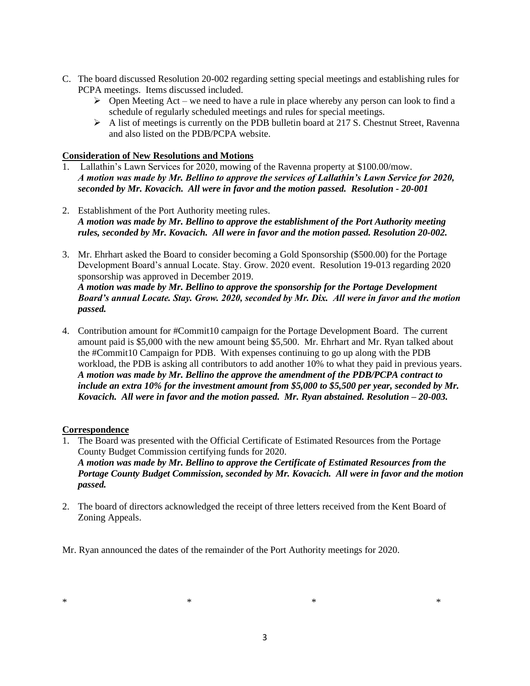- C. The board discussed Resolution 20-002 regarding setting special meetings and establishing rules for PCPA meetings. Items discussed included.
	- $\triangleright$  Open Meeting Act we need to have a rule in place whereby any person can look to find a schedule of regularly scheduled meetings and rules for special meetings.
	- ➢ A list of meetings is currently on the PDB bulletin board at 217 S. Chestnut Street, Ravenna and also listed on the PDB/PCPA website.

### **Consideration of New Resolutions and Motions**

- 1. Lallathin's Lawn Services for 2020, mowing of the Ravenna property at \$100.00/mow. *A motion was made by Mr. Bellino to approve the services of Lallathin's Lawn Service for 2020, seconded by Mr. Kovacich. All were in favor and the motion passed. Resolution - 20-001*
- 2. Establishment of the Port Authority meeting rules. *A motion was made by Mr. Bellino to approve the establishment of the Port Authority meeting rules, seconded by Mr. Kovacich. All were in favor and the motion passed. Resolution 20-002.*
- 3. Mr. Ehrhart asked the Board to consider becoming a Gold Sponsorship (\$500.00) for the Portage Development Board's annual Locate. Stay. Grow. 2020 event. Resolution 19-013 regarding 2020 sponsorship was approved in December 2019. *A motion was made by Mr. Bellino to approve the sponsorship for the Portage Development*

*Board's annual Locate. Stay. Grow. 2020, seconded by Mr. Dix. All were in favor and the motion passed.*

4. Contribution amount for #Commit10 campaign for the Portage Development Board. The current amount paid is \$5,000 with the new amount being \$5,500. Mr. Ehrhart and Mr. Ryan talked about the #Commit10 Campaign for PDB. With expenses continuing to go up along with the PDB workload, the PDB is asking all contributors to add another 10% to what they paid in previous years. *A motion was made by Mr. Bellino the approve the amendment of the PDB/PCPA contract to include an extra 10% for the investment amount from \$5,000 to \$5,500 per year, seconded by Mr. Kovacich. All were in favor and the motion passed. Mr. Ryan abstained. Resolution – 20-003.*

## **Correspondence**

- 1. The Board was presented with the Official Certificate of Estimated Resources from the Portage County Budget Commission certifying funds for 2020. *A motion was made by Mr. Bellino to approve the Certificate of Estimated Resources from the Portage County Budget Commission, seconded by Mr. Kovacich. All were in favor and the motion passed.*
- 2. The board of directors acknowledged the receipt of three letters received from the Kent Board of Zoning Appeals.

Mr. Ryan announced the dates of the remainder of the Port Authority meetings for 2020.

 $*$   $*$   $*$   $*$   $*$   $*$   $*$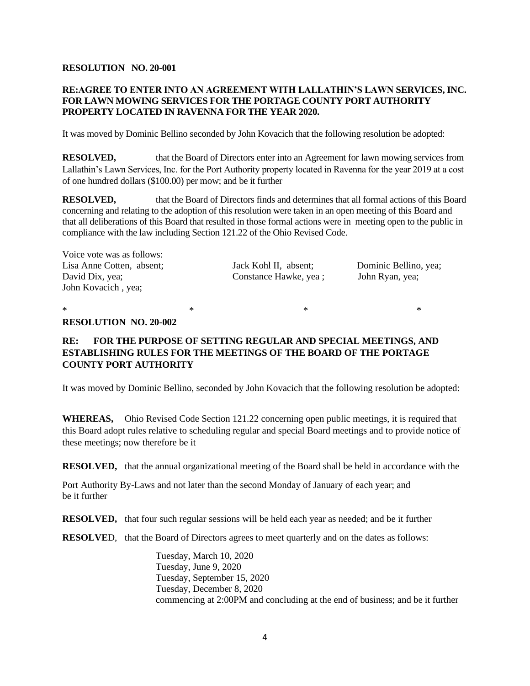### **RESOLUTION NO. 20-001**

# **RE:AGREE TO ENTER INTO AN AGREEMENT WITH LALLATHIN'S LAWN SERVICES, INC. FOR LAWN MOWING SERVICES FOR THE PORTAGE COUNTY PORT AUTHORITY PROPERTY LOCATED IN RAVENNA FOR THE YEAR 2020.**

It was moved by Dominic Bellino seconded by John Kovacich that the following resolution be adopted:

**RESOLVED,** that the Board of Directors enter into an Agreement for lawn mowing services from Lallathin's Lawn Services, Inc. for the Port Authority property located in Ravenna for the year 2019 at a cost of one hundred dollars (\$100.00) per mow; and be it further

**RESOLVED,** that the Board of Directors finds and determines that all formal actions of this Board concerning and relating to the adoption of this resolution were taken in an open meeting of this Board and that all deliberations of this Board that resulted in those formal actions were in meeting open to the public in compliance with the law including Section 121.22 of the Ohio Revised Code.

| Voice vote was as follows: |                       |                       |
|----------------------------|-----------------------|-----------------------|
| Lisa Anne Cotten, absent;  | Jack Kohl II, absent; | Dominic Bellino, yea; |
| David Dix, yea;            | Constance Hawke, yea; | John Ryan, yea;       |
| John Kovacich, yea;        |                       |                       |
|                            |                       |                       |

 $*$   $*$   $*$   $*$ 

### **RESOLUTION NO. 20-002**

# **RE: FOR THE PURPOSE OF SETTING REGULAR AND SPECIAL MEETINGS, AND ESTABLISHING RULES FOR THE MEETINGS OF THE BOARD OF THE PORTAGE COUNTY PORT AUTHORITY**

It was moved by Dominic Bellino, seconded by John Kovacich that the following resolution be adopted:

**WHEREAS,** Ohio Revised Code Section 121.22 concerning open public meetings, it is required that this Board adopt rules relative to scheduling regular and special Board meetings and to provide notice of these meetings; now therefore be it

**RESOLVED,** that the annual organizational meeting of the Board shall be held in accordance with the

Port Authority By-Laws and not later than the second Monday of January of each year; and be it further

**RESOLVED,** that four such regular sessions will be held each year as needed; and be it further

**RESOLVE**D, that the Board of Directors agrees to meet quarterly and on the dates as follows:

Tuesday, March 10, 2020 Tuesday, June 9, 2020 Tuesday, September 15, 2020 Tuesday, December 8, 2020 commencing at 2:00PM and concluding at the end of business; and be it further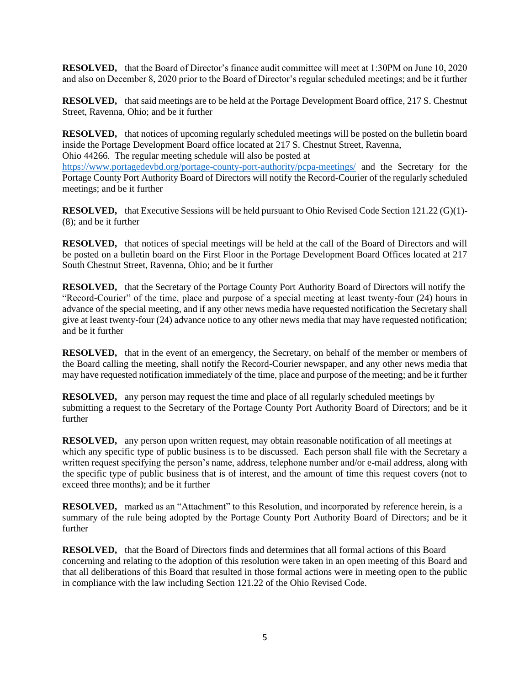**RESOLVED,** that the Board of Director's finance audit committee will meet at 1:30PM on June 10, 2020 and also on December 8, 2020 prior to the Board of Director's regular scheduled meetings; and be it further

**RESOLVED,** that said meetings are to be held at the Portage Development Board office, 217 S. Chestnut Street, Ravenna, Ohio; and be it further

**RESOLVED,** that notices of upcoming regularly scheduled meetings will be posted on the bulletin board inside the Portage Development Board office located at 217 S. Chestnut Street, Ravenna, Ohio 44266. The regular meeting schedule will also be posted at

<https://www.portagedevbd.org/portage-county-port-authority/pcpa-meetings/> and the Secretary for the Portage County Port Authority Board of Directors will notify the Record-Courier of the regularly scheduled meetings; and be it further

**RESOLVED,** that Executive Sessions will be held pursuant to Ohio Revised Code Section 121.22 (G)(1)- (8); and be it further

**RESOLVED,** that notices of special meetings will be held at the call of the Board of Directors and will be posted on a bulletin board on the First Floor in the Portage Development Board Offices located at 217 South Chestnut Street, Ravenna, Ohio; and be it further

**RESOLVED,** that the Secretary of the Portage County Port Authority Board of Directors will notify the "Record-Courier" of the time, place and purpose of a special meeting at least twenty-four (24) hours in advance of the special meeting, and if any other news media have requested notification the Secretary shall give at least twenty-four (24) advance notice to any other news media that may have requested notification; and be it further

**RESOLVED,** that in the event of an emergency, the Secretary, on behalf of the member or members of the Board calling the meeting, shall notify the Record-Courier newspaper, and any other news media that may have requested notification immediately of the time, place and purpose of the meeting; and be it further

**RESOLVED,** any person may request the time and place of all regularly scheduled meetings by submitting a request to the Secretary of the Portage County Port Authority Board of Directors; and be it further

**RESOLVED,** any person upon written request, may obtain reasonable notification of all meetings at which any specific type of public business is to be discussed. Each person shall file with the Secretary a written request specifying the person's name, address, telephone number and/or e-mail address, along with the specific type of public business that is of interest, and the amount of time this request covers (not to exceed three months); and be it further

**RESOLVED,** marked as an "Attachment" to this Resolution, and incorporated by reference herein, is a summary of the rule being adopted by the Portage County Port Authority Board of Directors; and be it further

**RESOLVED,** that the Board of Directors finds and determines that all formal actions of this Board concerning and relating to the adoption of this resolution were taken in an open meeting of this Board and that all deliberations of this Board that resulted in those formal actions were in meeting open to the public in compliance with the law including Section 121.22 of the Ohio Revised Code.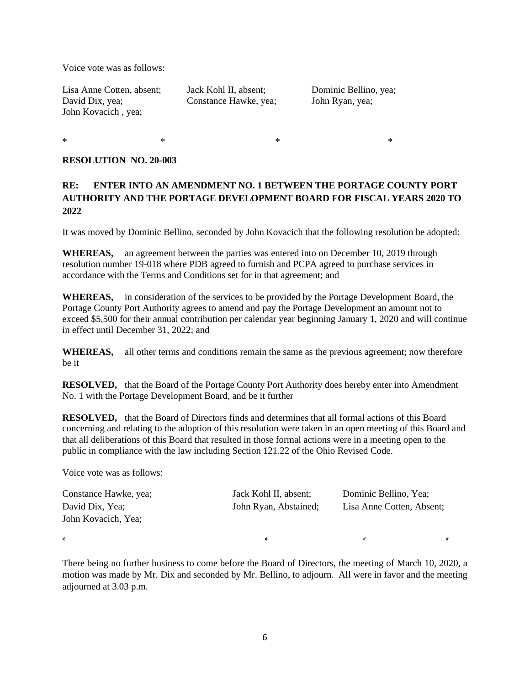Voice vote was as follows:

Lisa Anne Cotten, absent; Jack Kohl II, absent; Dominic Bellino, yea; David Dix, yea; Constance Hawke, yea; John Ryan, yea; John Kovacich , yea;

 $*$   $*$ 

### **RESOLUTION NO. 20-003**

# **RE: ENTER INTO AN AMENDMENT NO. 1 BETWEEN THE PORTAGE COUNTY PORT AUTHORITY AND THE PORTAGE DEVELOPMENT BOARD FOR FISCAL YEARS 2020 TO 2022**

It was moved by Dominic Bellino, seconded by John Kovacich that the following resolution be adopted:

**WHEREAS,** an agreement between the parties was entered into on December 10, 2019 through resolution number 19-018 where PDB agreed to furnish and PCPA agreed to purchase services in accordance with the Terms and Conditions set for in that agreement; and

**WHEREAS,** in consideration of the services to be provided by the Portage Development Board, the Portage County Port Authority agrees to amend and pay the Portage Development an amount not to exceed \$5,500 for their annual contribution per calendar year beginning January 1, 2020 and will continue in effect until December 31, 2022; and

**WHEREAS,** all other terms and conditions remain the same as the previous agreement; now therefore be it

**RESOLVED,** that the Board of the Portage County Port Authority does hereby enter into Amendment No. 1 with the Portage Development Board, and be it further

**RESOLVED,** that the Board of Directors finds and determines that all formal actions of this Board concerning and relating to the adoption of this resolution were taken in an open meeting of this Board and that all deliberations of this Board that resulted in those formal actions were in a meeting open to the public in compliance with the law including Section 121.22 of the Ohio Revised Code.

Voice vote was as follows:

| Constance Hawke, yea; | Jack Kohl II, absent; | Dominic Bellino, Yea;     |   |
|-----------------------|-----------------------|---------------------------|---|
| David Dix, Yea;       | John Ryan, Abstained; | Lisa Anne Cotten, Absent; |   |
| John Kovacich, Yea;   |                       |                           |   |
| $\ast$                | ×.                    | ×.                        | * |

There being no further business to come before the Board of Directors, the meeting of March 10, 2020, a motion was made by Mr. Dix and seconded by Mr. Bellino, to adjourn. All were in favor and the meeting adjourned at 3.03 p.m.